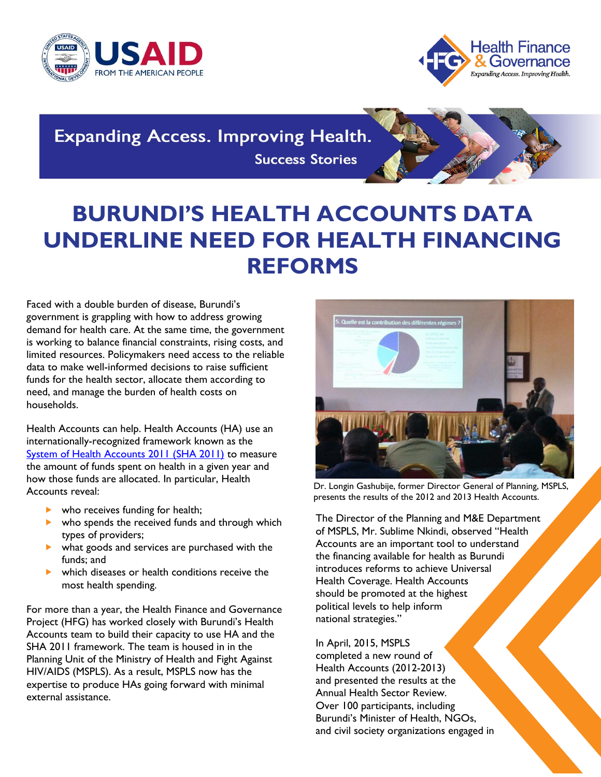



**Expanding Access. Improving Health. Success Stories** 

## **BURUNDI'S HEALTH ACCOUNTS DATA UNDERLINE NEED FOR HEALTH FINANCING REFORMS**

Faced with a double burden of disease, Burundi's government is grappling with how to address growing demand for health care. At the same time, the government is working to balance financial constraints, rising costs, and limited resources. Policymakers need access to the reliable data to make well-informed decisions to raise sufficient funds for the health sector, allocate them according to need, and manage the burden of health costs on households.

Health Accounts can help. Health Accounts (HA) use an internationally-recognized framework known as the [System of Health Accounts 2011 \(SHA 2011\)](https://www.hfgproject.org/sha-2011-explained-new-brief/) to measure the amount of funds spent on health in a given year and how those funds are allocated. In particular, Health Accounts reveal:

- who receives funding for health;
- $\triangleright$  who spends the received funds and through which types of providers;
- what goods and services are purchased with the funds; and
- which diseases or health conditions receive the most health spending.

For more than a year, the Health Finance and Governance Project (HFG) has worked closely with Burundi's Health Accounts team to build their capacity to use HA and the SHA 2011 framework. The team is housed in in the Planning Unit of the Ministry of Health and Fight Against HIV/AIDS (MSPLS). As a result, MSPLS now has the expertise to produce HAs going forward with minimal external assistance.



Dr. Longin Gashubije, former Director General of Planning, MSPLS, presents the results of the 2012 and 2013 Health Accounts.

The Director of the Planning and M&E Department of MSPLS, Mr. Sublime Nkindi, observed "Health Accounts are an important tool to understand the financing available for health as Burundi introduces reforms to achieve Universal Health Coverage. Health Accounts should be promoted at the highest political levels to help inform national strategies."

In April, 2015, MSPLS completed a new round of Health Accounts (2012-2013) and presented the results at the Annual Health Sector Review. Over 100 participants, including Burundi's Minister of Health, NGOs, and civil society organizations engaged in